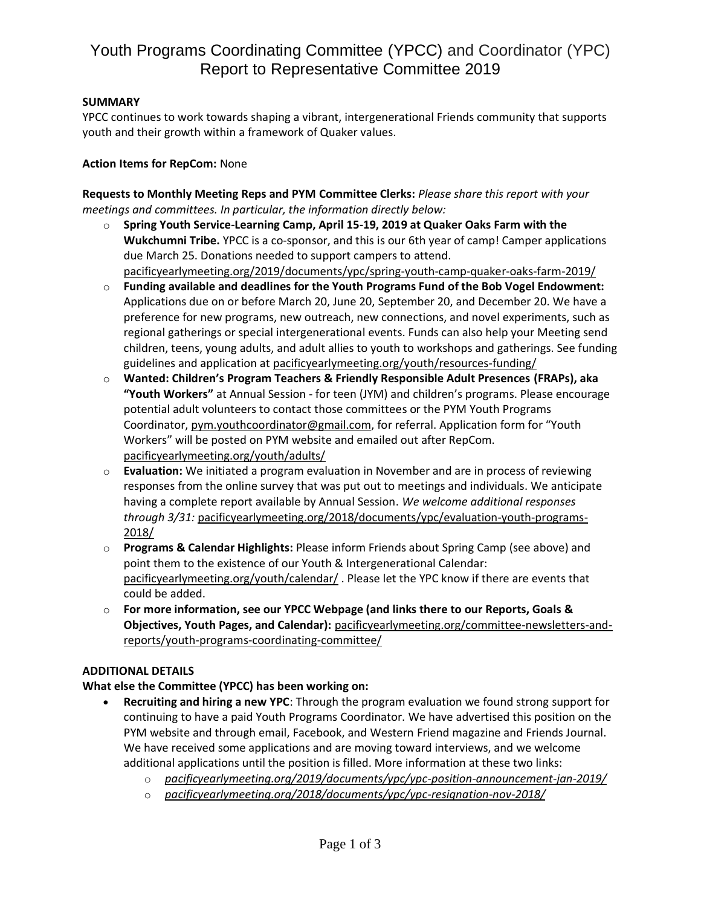# Youth Programs Coordinating Committee (YPCC) and Coordinator (YPC) Report to Representative Committee 2019

### **SUMMARY**

YPCC continues to work towards shaping a vibrant, intergenerational Friends community that supports youth and their growth within a framework of Quaker values.

#### **Action Items for RepCom:** None

**Requests to Monthly Meeting Reps and PYM Committee Clerks:** *Please share this report with your meetings and committees. In particular, the information directly below:*

- o **Spring Youth Service-Learning Camp, April 15-19, 2019 at Quaker Oaks Farm with the Wukchumni Tribe.** YPCC is a co-sponsor, and this is our 6th year of camp! Camper applications due March 25. Donations needed to support campers to attend. [pacificyearlymeeting.org/2019/documents/ypc/spring-youth-camp-quaker-oaks-farm-2019/](https://www.pacificyearlymeeting.org/2019/documents/ypc/spring-youth-camp-quaker-oaks-farm-2019/)
- o **Funding available and deadlines for the Youth Programs Fund of the Bob Vogel Endowment:** Applications due on or before March 20, June 20, September 20, and December 20. We have a preference for new programs, new outreach, new connections, and novel experiments, such as regional gatherings or special intergenerational events. Funds can also help your Meeting send children, teens, young adults, and adult allies to youth to workshops and gatherings. See funding guidelines and application at [pacificyearlymeeting.org/youth/resources-funding/](https://www.pacificyearlymeeting.org/youth/resources-funding/)
- o **Wanted: Children's Program Teachers & Friendly Responsible Adult Presences (FRAPs), aka "Youth Workers"** at Annual Session - for teen (JYM) and children's programs. Please encourage potential adult volunteers to contact those committees or the PYM Youth Programs Coordinator, [pym.youthcoordinator@gmail.com](mailto:pym.youthcoordinator@gmail.com), for referral. Application form for "Youth Workers" will be posted on PYM website and emailed out after RepCom. [pacificyearlymeeting.org/youth/adults/](https://www.pacificyearlymeeting.org/youth/adults/)
- o **Evaluation:** We initiated a program evaluation in November and are in process of reviewing responses from the online survey that was put out to meetings and individuals. We anticipate having a complete report available by Annual Session. *We welcome additional responses through 3/31:* [pacificyearlymeeting.org/2018/documents/ypc/evaluation-youth-programs-](https://www.pacificyearlymeeting.org/2018/documents/ypc/evaluation-youth-programs-2018/)[2018/](https://www.pacificyearlymeeting.org/2018/documents/ypc/evaluation-youth-programs-2018/)
- o **Programs & Calendar Highlights:** Please inform Friends about Spring Camp (see above) and point them to the existence of our Youth & Intergenerational Calendar: [pacificyearlymeeting.org/youth/calendar/](http://www.pacificyearlymeeting.org/youth/calendar/). Please let the YPC know if there are events that could be added.
- o **For more information, see our YPCC Webpage (and links there to our Reports, Goals & Objectives, Youth Pages, and Calendar):** [pacificyearlymeeting.org/committee-newsletters-and](https://www.pacificyearlymeeting.org/committee-newsletters-and-reports/youth-programs-coordinating-committee/)[reports/youth-programs-coordinating-committee/](https://www.pacificyearlymeeting.org/committee-newsletters-and-reports/youth-programs-coordinating-committee/)

#### **ADDITIONAL DETAILS**

### **What else the Committee (YPCC) has been working on:**

- **Recruiting and hiring a new YPC**: Through the program evaluation we found strong support for continuing to have a paid Youth Programs Coordinator. We have advertised this position on the PYM website and through email, Facebook, and Western Friend magazine and Friends Journal. We have received some applications and are moving toward interviews, and we welcome additional applications until the position is filled. More information at these two links:
	- o *[pacificyearlymeeting.org/2019/documents/ypc/ypc-position-announcement-jan-2019/](https://www.pacificyearlymeeting.org/2019/documents/ypc/ypc-position-announcement-jan-2019/)*
	- o *[pacificyearlymeeting.org/2018/documents/ypc/ypc-resignation-nov-2018/](https://www.pacificyearlymeeting.org/2018/documents/ypc/ypc-resignation-nov-2018/)*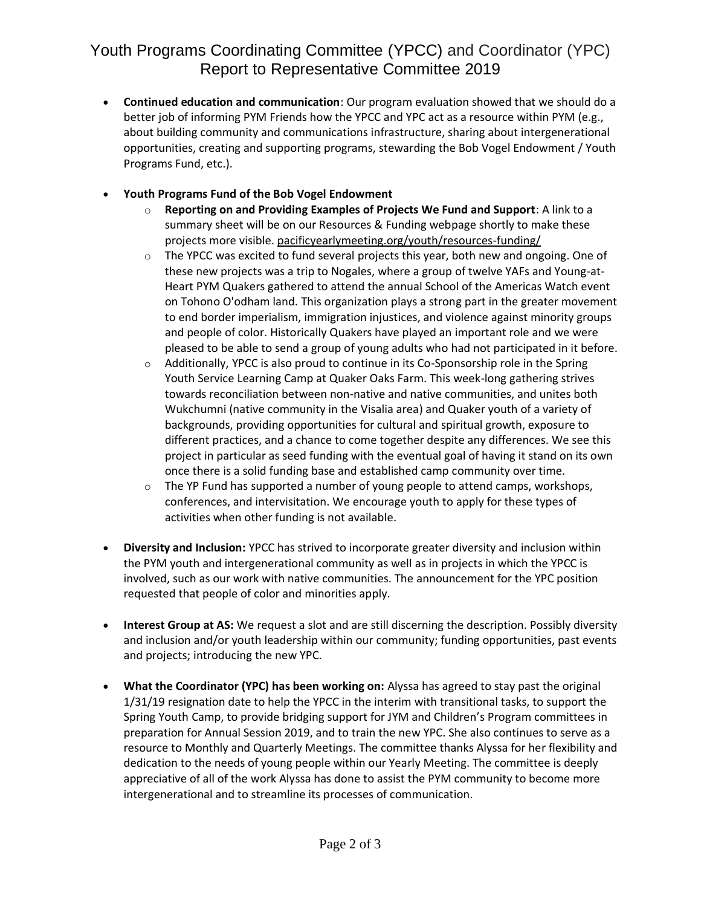# Youth Programs Coordinating Committee (YPCC) and Coordinator (YPC) Report to Representative Committee 2019

- **Continued education and communication**: Our program evaluation showed that we should do a better job of informing PYM Friends how the YPCC and YPC act as a resource within PYM (e.g., about building community and communications infrastructure, sharing about intergenerational opportunities, creating and supporting programs, stewarding the Bob Vogel Endowment / Youth Programs Fund, etc.).
- **Youth Programs Fund of the Bob Vogel Endowment**
	- o **Reporting on and Providing Examples of Projects We Fund and Support**: A link to a summary sheet will be on our Resources & Funding webpage shortly to make these projects more visible. [pacificyearlymeeting.org/youth/resources-funding/](https://www.pacificyearlymeeting.org/youth/resources-funding/)
	- $\circ$  The YPCC was excited to fund several projects this year, both new and ongoing. One of these new projects was a trip to Nogales, where a group of twelve YAFs and Young-at-Heart PYM Quakers gathered to attend the annual School of the Americas Watch event on Tohono O'odham land. This organization plays a strong part in the greater movement to end border imperialism, immigration injustices, and violence against minority groups and people of color. Historically Quakers have played an important role and we were pleased to be able to send a group of young adults who had not participated in it before.
	- o Additionally, YPCC is also proud to continue in its Co-Sponsorship role in the Spring Youth Service Learning Camp at Quaker Oaks Farm. This week-long gathering strives towards reconciliation between non-native and native communities, and unites both Wukchumni (native community in the Visalia area) and Quaker youth of a variety of backgrounds, providing opportunities for cultural and spiritual growth, exposure to different practices, and a chance to come together despite any differences. We see this project in particular as seed funding with the eventual goal of having it stand on its own once there is a solid funding base and established camp community over time.
	- $\circ$  The YP Fund has supported a number of young people to attend camps, workshops, conferences, and intervisitation. We encourage youth to apply for these types of activities when other funding is not available.
- **Diversity and Inclusion:** YPCC has strived to incorporate greater diversity and inclusion within the PYM youth and intergenerational community as well as in projects in which the YPCC is involved, such as our work with native communities. The announcement for the YPC position requested that people of color and minorities apply.
- **Interest Group at AS:** We request a slot and are still discerning the description. Possibly diversity and inclusion and/or youth leadership within our community; funding opportunities, past events and projects; introducing the new YPC.
- **What the Coordinator (YPC) has been working on:** Alyssa has agreed to stay past the original 1/31/19 resignation date to help the YPCC in the interim with transitional tasks, to support the Spring Youth Camp, to provide bridging support for JYM and Children's Program committees in preparation for Annual Session 2019, and to train the new YPC. She also continues to serve as a resource to Monthly and Quarterly Meetings. The committee thanks Alyssa for her flexibility and dedication to the needs of young people within our Yearly Meeting. The committee is deeply appreciative of all of the work Alyssa has done to assist the PYM community to become more intergenerational and to streamline its processes of communication.